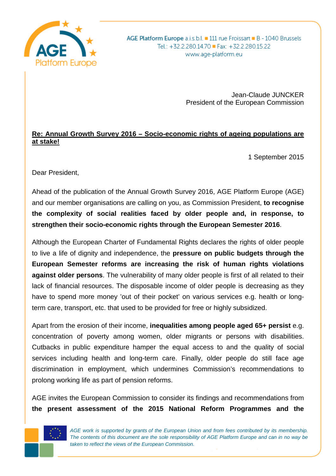

AGE Platform Europe a.i.s.b.l. 111 rue Froissart B - 1040 Brussels Tel.: +32.2.280.14.70 Fax: +32.2.280.15.22 www.age-platform.eu

> Jean-Claude JUNCKER President of the European Commission

## **Re: Annual Growth Survey 2016 – Socio-economic rights of ageing populations are at stake!**

1 September 2015

Dear President,

Ahead of the publication of the Annual Growth Survey 2016, AGE Platform Europe (AGE) and our member organisations are calling on you, as Commission President, **to recognise the complexity of social realities faced by older people and, in response, to strengthen their socio-economic rights through the European Semester 2016**.

Although the European Charter of Fundamental Rights declares the rights of older people to live a life of dignity and independence, the **pressure on public budgets through the European Semester reforms are increasing the risk of human rights violations against older persons**. The vulnerability of many older people is first of all related to their lack of financial resources. The disposable income of older people is decreasing as they have to spend more money 'out of their pocket' on various services e.g. health or longterm care, transport, etc. that used to be provided for free or highly subsidized.

Apart from the erosion of their income, **inequalities among people aged 65+ persist** e.g. concentration of poverty among women, older migrants or persons with disabilities. Cutbacks in public expenditure hamper the equal access to and the quality of social services including health and long-term care. Finally, older people do still face age discrimination in employment, which undermines Commission's recommendations to prolong working life as part of pension reforms.

AGE invites the European Commission to consider its findings and recommendations from **the present assessment of the 2015 National Reform Programmes and the** 



*AGE work is supported by grants of the European Union and from fees contributed by its membership. The contents of this document are the sole responsibility of AGE Platform Europe and can in no way be taken to reflect the views of the European Commission.*